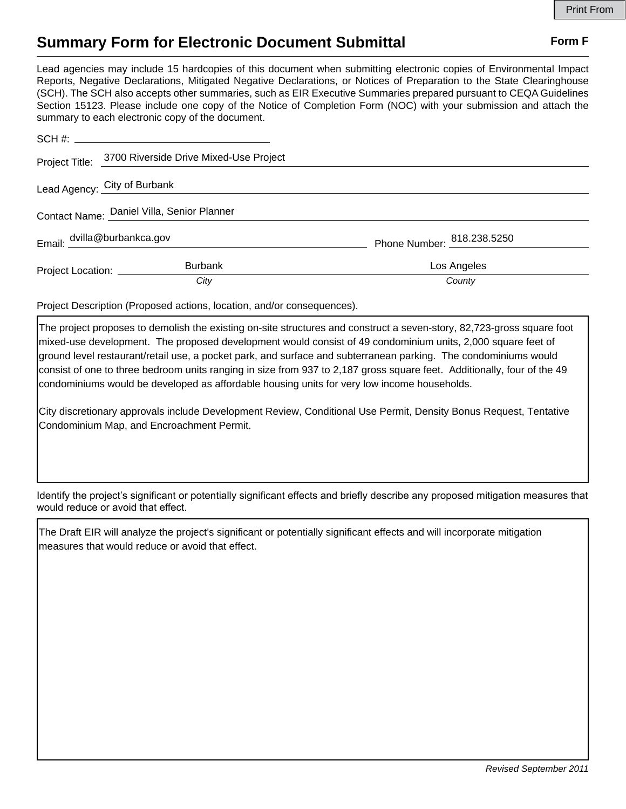## **Summary Form for Electronic Document Submittal Form F Form F**

Lead agencies may include 15 hardcopies of this document when submitting electronic copies of Environmental Impact Reports, Negative Declarations, Mitigated Negative Declarations, or Notices of Preparation to the State Clearinghouse (SCH). The SCH also accepts other summaries, such as EIR Executive Summaries prepared pursuant to CEQA Guidelines Section 15123. Please include one copy of the Notice of Completion Form (NOC) with your submission and attach the summary to each electronic copy of the document.

|                                            | Project Title: 3700 Riverside Drive Mixed-Use Project |                            |
|--------------------------------------------|-------------------------------------------------------|----------------------------|
| Lead Agency: City of Burbank               |                                                       |                            |
| Contact Name: Daniel Villa, Senior Planner |                                                       |                            |
| Email: dvilla@burbankca.gov                |                                                       | Phone Number: 818.238.5250 |
| Project Location: ____________             | <b>Burbank</b>                                        | Los Angeles                |
|                                            | City                                                  | County                     |

Project Description (Proposed actions, location, and/or consequences).

The project proposes to demolish the existing on-site structures and construct a seven-story, 82,723-gross square foot mixed-use development. The proposed development would consist of 49 condominium units, 2,000 square feet of ground level restaurant/retail use, a pocket park, and surface and subterranean parking. The condominiums would consist of one to three bedroom units ranging in size from 937 to 2,187 gross square feet. Additionally, four of the 49 condominiums would be developed as affordable housing units for very low income households.

City discretionary approvals include Development Review, Conditional Use Permit, Density Bonus Request, Tentative Condominium Map, and Encroachment Permit.

Identify the project's significant or potentially significant effects and briefly describe any proposed mitigation measures that would reduce or avoid that effect.

The Draft EIR will analyze the project's significant or potentially significant effects and will incorporate mitigation measures that would reduce or avoid that effect.